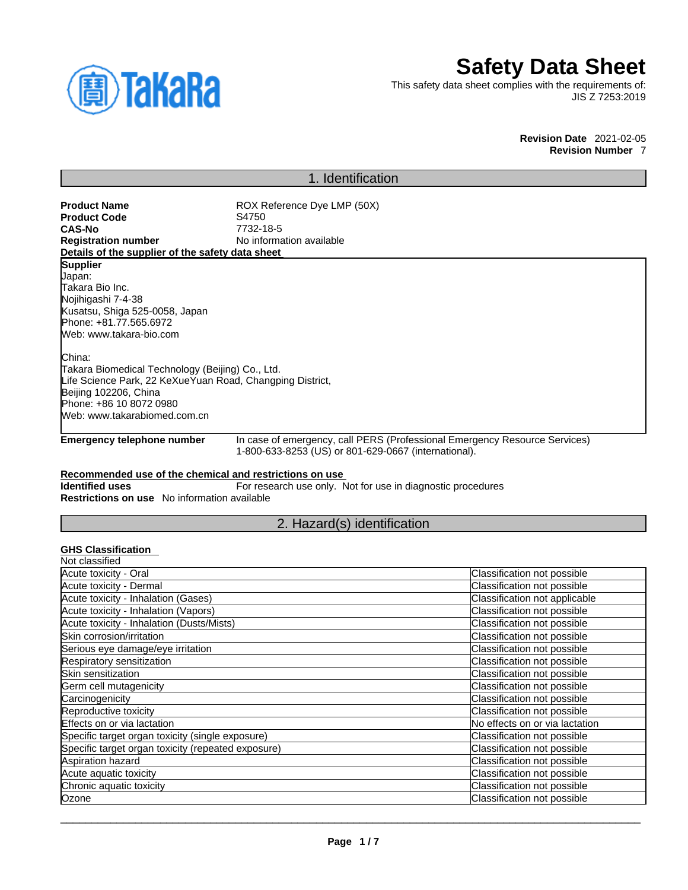

# **Safety Data Sheet**

This safety data sheet complies with the requirements of: JIS Z 7253:2019

> **Revision Date** 2021-02-05 **Revision Number** 7

## 1. Identification

**Product Name** ROX Reference Dye LMP (50X)<br> **Product Code** S4750 **CAS-No** 7732-18-5 **No information available** 

**Details of the supplier of the safety data sheet**

**Product Code**<br>CAS-No

**Supplier** Japan: Takara Bio Inc. Nojihigashi 7-4-38 Kusatsu, Shiga 525-0058, Japan Phone: +81.77.565.6972 Web: www.takara-bio.com

China:

Takara Biomedical Technology (Beijing) Co., Ltd. Life Science Park, 22 KeXueYuan Road, Changping District, Beijing 102206, China Phone: +86 10 8072 0980 Web: www.takarabiomed.com.cn

**Emergency telephone number** In case of emergency, call PERS (Professional Emergency Resource Services) 1-800-633-8253 (US) or 801-629-0667 (international).

#### **Recommended use of the chemical and restrictions on use**

**Identified uses** For research use only. Not for use in diagnostic procedures **Restrictions on use** No information available

2. Hazard(s) identification

## **GHS Classification**

| Classification not possible    |
|--------------------------------|
| Classification not possible    |
| Classification not applicable  |
| Classification not possible    |
| Classification not possible    |
| Classification not possible    |
| Classification not possible    |
| Classification not possible    |
| Classification not possible    |
| Classification not possible    |
| Classification not possible    |
| Classification not possible    |
| No effects on or via lactation |
| Classification not possible    |
| Classification not possible    |
| Classification not possible    |
| Classification not possible    |
| Classification not possible    |
| Classification not possible    |
|                                |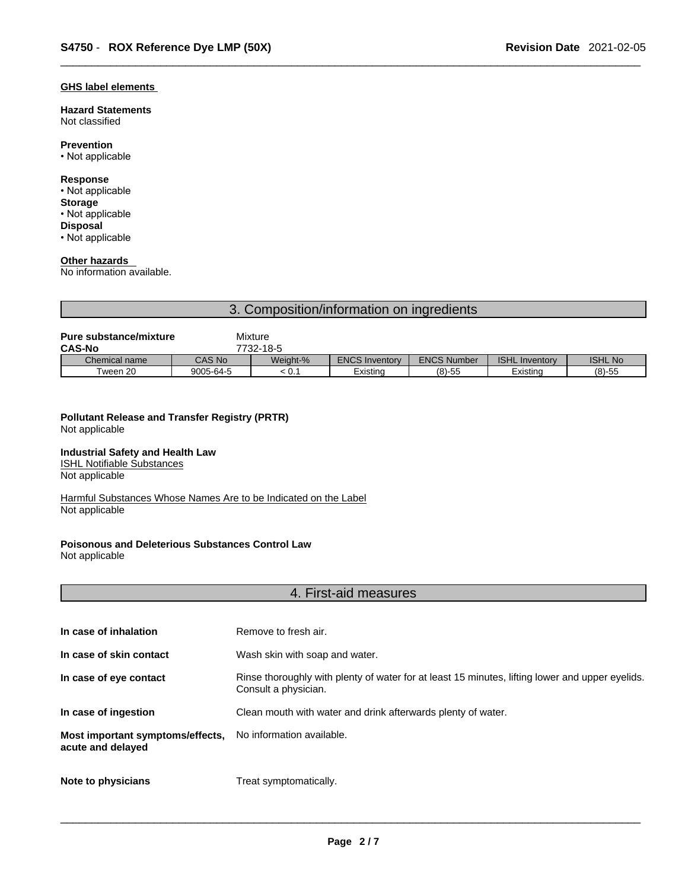#### **GHS label elements**

**Hazard Statements**  Not classified

## **Prevention**

• Not applicable

## **Response**

• Not applicable **Storage** • Not applicable **Disposal**

• Not applicable

## **Other hazards**

No information available.

## 3. Composition/information on ingredients

| <b>Pure substance/mixture</b> |               | Mixture   |                       |                    |                       |                |
|-------------------------------|---------------|-----------|-----------------------|--------------------|-----------------------|----------------|
| <b>CAS-No</b>                 |               | 7732-18-5 |                       |                    |                       |                |
| Chemical name                 | <b>CAS No</b> | Weight-%  | <b>ENCS Inventory</b> | <b>ENCS Number</b> | <b>ISHL Inventory</b> | <b>ISHL No</b> |
| Tween 20                      | 9005-64-5     | < 0.1     | Existina              | $(8)-55$           | Existina              | $(8)-55$       |

#### **Pollutant Release and Transfer Registry (PRTR)** Not applicable

#### **Industrial Safety and Health Law**

ISHL Notifiable Substances Not applicable

Harmful Substances Whose Names Are to be Indicated on the Label Not applicable

## **Poisonous and Deleterious Substances Control Law**

Not applicable

## 4. First-aid measures

| In case of inhalation                                 | Remove to fresh air.                                                                                                    |
|-------------------------------------------------------|-------------------------------------------------------------------------------------------------------------------------|
| In case of skin contact                               | Wash skin with soap and water.                                                                                          |
| In case of eye contact                                | Rinse thoroughly with plenty of water for at least 15 minutes, lifting lower and upper eyelids.<br>Consult a physician. |
| In case of ingestion                                  | Clean mouth with water and drink afterwards plenty of water.                                                            |
| Most important symptoms/effects,<br>acute and delayed | No information available.                                                                                               |
| Note to physicians                                    | Treat symptomatically.                                                                                                  |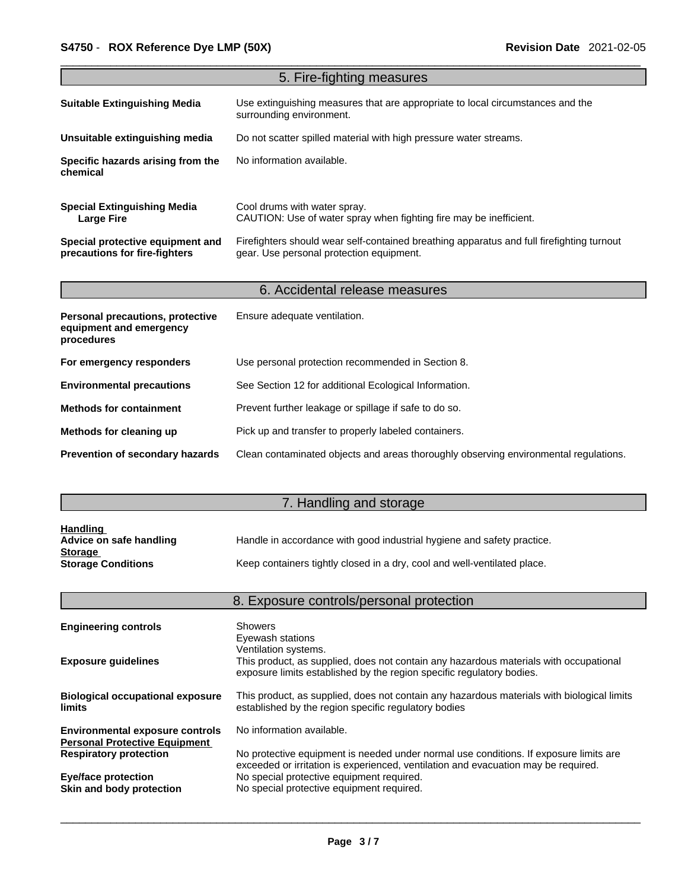|                                                                           | 5. Fire-fighting measures                                                                                                             |
|---------------------------------------------------------------------------|---------------------------------------------------------------------------------------------------------------------------------------|
| <b>Suitable Extinguishing Media</b>                                       | Use extinguishing measures that are appropriate to local circumstances and the<br>surrounding environment.                            |
| Unsuitable extinguishing media                                            | Do not scatter spilled material with high pressure water streams.                                                                     |
| Specific hazards arising from the<br>chemical                             | No information available.                                                                                                             |
| <b>Special Extinguishing Media</b><br><b>Large Fire</b>                   | Cool drums with water spray.<br>CAUTION: Use of water spray when fighting fire may be inefficient.                                    |
| Special protective equipment and<br>precautions for fire-fighters         | Firefighters should wear self-contained breathing apparatus and full firefighting turnout<br>gear. Use personal protection equipment. |
|                                                                           |                                                                                                                                       |
|                                                                           | 6. Accidental release measures                                                                                                        |
| Personal precautions, protective<br>equipment and emergency<br>procedures | Ensure adequate ventilation.                                                                                                          |
|                                                                           |                                                                                                                                       |
| For emergency responders                                                  | Use personal protection recommended in Section 8.                                                                                     |
| <b>Environmental precautions</b>                                          | See Section 12 for additional Ecological Information.                                                                                 |
| <b>Methods for containment</b>                                            | Prevent further leakage or spillage if safe to do so.                                                                                 |
| Methods for cleaning up                                                   | Pick up and transfer to properly labeled containers.                                                                                  |

## 7. Handling and storage

| <b>Handling</b>           |                                                                          |
|---------------------------|--------------------------------------------------------------------------|
| Advice on safe handling   | Handle in accordance with good industrial hygiene and safety practice.   |
| <b>Storage</b>            |                                                                          |
| <b>Storage Conditions</b> | Keep containers tightly closed in a dry, cool and well-ventilated place. |

|                                                                                | 8. Exposure controls/personal protection                                                                                                                                               |
|--------------------------------------------------------------------------------|----------------------------------------------------------------------------------------------------------------------------------------------------------------------------------------|
| <b>Engineering controls</b>                                                    | Showers<br>Eyewash stations                                                                                                                                                            |
| <b>Exposure guidelines</b>                                                     | Ventilation systems.<br>This product, as supplied, does not contain any hazardous materials with occupational<br>exposure limits established by the region specific regulatory bodies. |
| <b>Biological occupational exposure</b><br><b>limits</b>                       | This product, as supplied, does not contain any hazardous materials with biological limits<br>established by the region specific regulatory bodies                                     |
| <b>Environmental exposure controls</b><br><b>Personal Protective Equipment</b> | No information available.                                                                                                                                                              |
| <b>Respiratory protection</b>                                                  | No protective equipment is needed under normal use conditions. If exposure limits are<br>exceeded or irritation is experienced, ventilation and evacuation may be required.            |
| <b>Eye/face protection</b><br>Skin and body protection                         | No special protective equipment required.<br>No special protective equipment required.                                                                                                 |
|                                                                                |                                                                                                                                                                                        |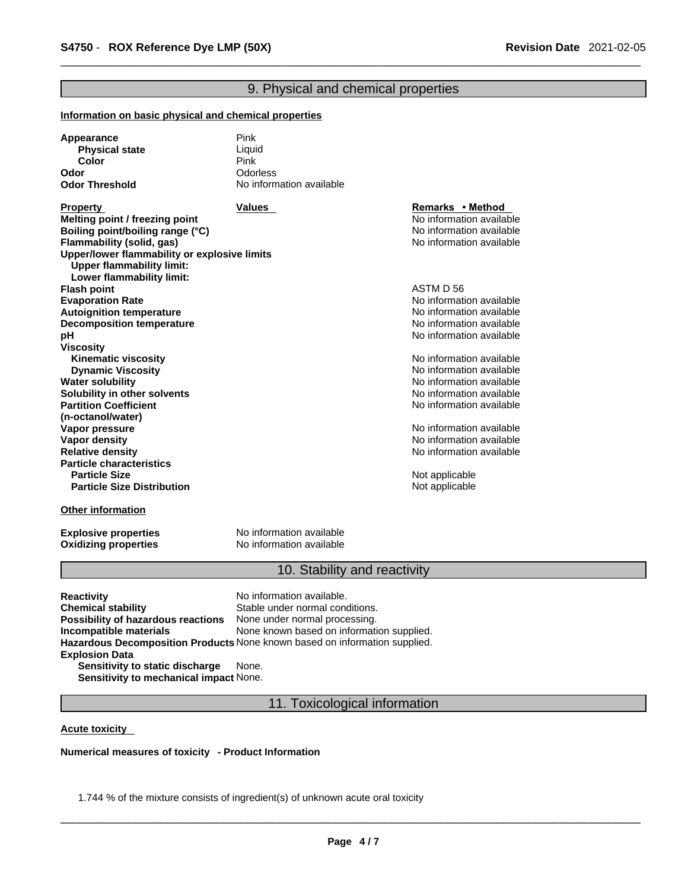## 9. Physical and chemical properties

#### **Information on basic physical and chemical properties**

| Appearance            | Pink                     |
|-----------------------|--------------------------|
| <b>Physical state</b> | Liquid                   |
| Color                 | Pink                     |
| Odor                  | Odorless                 |
| <b>Odor Threshold</b> | No information available |

**Property Remarks • Property Remarks • Method Melting point / freezing point**  $\blacksquare$  **Melting point** No information available **Boiling point/boiling range (°C)** and the set of the set of the No information available **Flammability** (solid, gas) and the state of the state of the No information available **Upper/lower flammability or explosive limits Upper flammability limit: Lower flammability limit: Flash point** ASTM D 56 **Evaporation Rate**<br> **Autoignition temperature**<br> **Autoignition temperature**<br> **Autoignition available Autoignition temperature**<br> **Decomposition temperature** Noinformation available<br>
No information available **Decomposition temperature pH pH** *pH* **Viscosity Kinematic viscosity Notified and Server Allen available** Note that Monder available **Dynamic Viscosity No information available** No information available **Water solubility Water solubility Water solubility Water Solubility Water Solubility Water Solubility Water Solubility Water Solubility Water Solubility Water Solubility Water Solub Solubility in other solvents intervalsed notation No information available No** information available **Partition Coefficient (n-octanol/water) Vapor pressure**<br> **Vapor density**<br> **Vapor density**<br> **Vapor density Vapor density**<br> **Vapor density**<br> **Relative density**<br> **Relative density Particle characteristics Particle Size Distribution** Not applicable

#### **Other information**

**Oxidizing properties** 

**Explosive properties**<br> **Oxidizing properties**<br>
No information available

## 10. Stability and reactivity

No information available

**Relative density** No information available

**Not applicable** 

**Reactivity No information available. Chemical stability** Stable under normal conditions. **Possibility of hazardous reactions** None under normal processing. **Incompatible materials** None known based on information supplied. **Hazardous Decomposition Products** None known based on information supplied. **Explosion Data Sensitivity to static discharge** None.

**Sensitivity to mechanical impact** None.

11. Toxicological information

#### **Acute toxicity**

**Numerical measures of toxicity - Product Information**

1.744 % of the mixture consists of ingredient(s) of unknown acute oral toxicity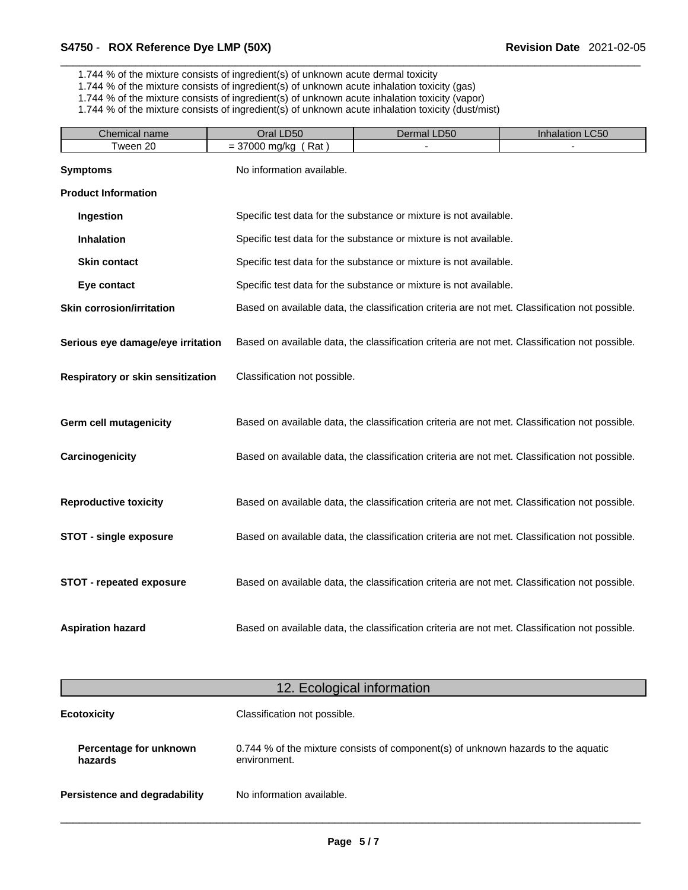1.744 % of the mixture consists of ingredient(s) of unknown acute dermal toxicity

1.744 % of the mixture consists of ingredient(s) of unknown acute inhalation toxicity (gas)

1.744 % of the mixture consists of ingredient(s) of unknown acute inhalation toxicity (vapor)

1.744 % of the mixture consists of ingredient(s) of unknown acute inhalation toxicity (dust/mist)

| Chemical name                     | Oral LD50                    | Dermal LD50                                                                                    | Inhalation LC50 |
|-----------------------------------|------------------------------|------------------------------------------------------------------------------------------------|-----------------|
| Tween 20                          | $= 37000$ mg/kg (Rat)        |                                                                                                |                 |
| <b>Symptoms</b>                   | No information available.    |                                                                                                |                 |
| <b>Product Information</b>        |                              |                                                                                                |                 |
| Ingestion                         |                              | Specific test data for the substance or mixture is not available.                              |                 |
| Inhalation                        |                              | Specific test data for the substance or mixture is not available.                              |                 |
| <b>Skin contact</b>               |                              | Specific test data for the substance or mixture is not available.                              |                 |
| Eye contact                       |                              | Specific test data for the substance or mixture is not available.                              |                 |
| <b>Skin corrosion/irritation</b>  |                              | Based on available data, the classification criteria are not met. Classification not possible. |                 |
| Serious eye damage/eye irritation |                              | Based on available data, the classification criteria are not met. Classification not possible. |                 |
| Respiratory or skin sensitization | Classification not possible. |                                                                                                |                 |
| Germ cell mutagenicity            |                              | Based on available data, the classification criteria are not met. Classification not possible. |                 |
| Carcinogenicity                   |                              | Based on available data, the classification criteria are not met. Classification not possible. |                 |
| <b>Reproductive toxicity</b>      |                              | Based on available data, the classification criteria are not met. Classification not possible. |                 |
| <b>STOT - single exposure</b>     |                              | Based on available data, the classification criteria are not met. Classification not possible. |                 |
| <b>STOT - repeated exposure</b>   |                              | Based on available data, the classification criteria are not met. Classification not possible. |                 |
| <b>Aspiration hazard</b>          |                              | Based on available data, the classification criteria are not met. Classification not possible. |                 |
|                                   | 12. Ecological information   |                                                                                                |                 |
| <b>Ecotoxicity</b>                | Classification not possible. |                                                                                                |                 |
|                                   |                              |                                                                                                |                 |
| Percentage for unknown<br>hazards | environment.                 | 0.744 % of the mixture consists of component(s) of unknown hazards to the aquatic              |                 |

**Persistence and degradability** No information available.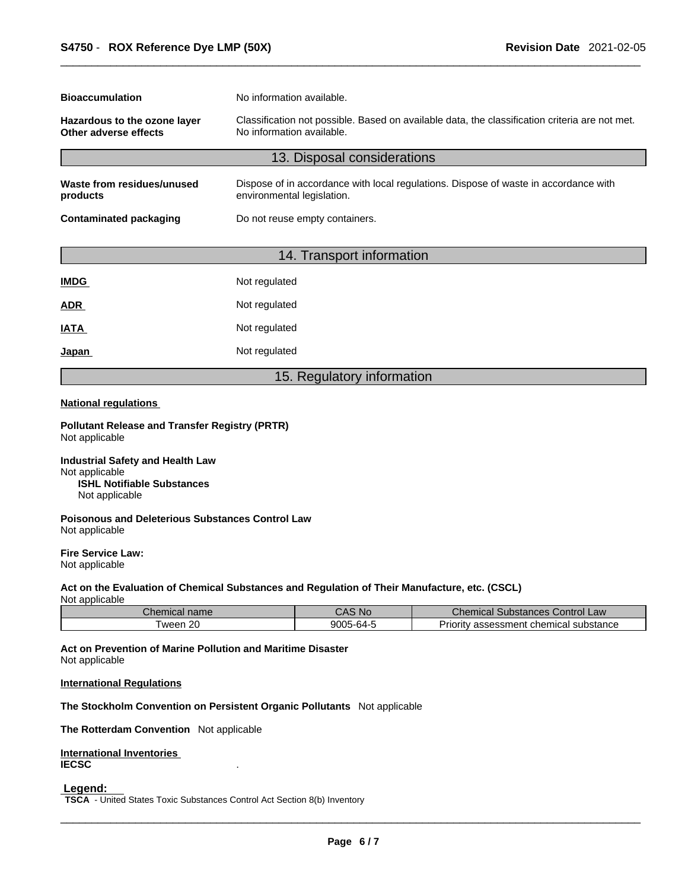| <b>Bioaccumulation</b>                                | No information available.                                                                                                   |  |  |
|-------------------------------------------------------|-----------------------------------------------------------------------------------------------------------------------------|--|--|
| Hazardous to the ozone layer<br>Other adverse effects | Classification not possible. Based on available data, the classification criteria are not met.<br>No information available. |  |  |
|                                                       | 13. Disposal considerations                                                                                                 |  |  |
| Waste from residues/unused<br>products                | Dispose of in accordance with local regulations. Dispose of waste in accordance with<br>environmental legislation.          |  |  |
| <b>Contaminated packaging</b>                         | Do not reuse empty containers.                                                                                              |  |  |

## 14. Transport information

| <b>IMDG</b> | Not regulated |
|-------------|---------------|
| <b>ADR</b>  | Not regulated |
| <b>IATA</b> | Not regulated |
| Japan       | Not regulated |

## 15. Regulatory information

#### **National regulations**

**Pollutant Release and Transfer Registry (PRTR)** Not applicable

**Industrial Safety and Health Law** Not applicable **ISHL Notifiable Substances** Not applicable

**Poisonous and Deleterious Substances Control Law** Not applicable

**Fire Service Law:** Not applicable

## **Act on the Evaluation of Chemical Substances and Regulation of Their Manufacture, etc. (CSCL)**

Not applicable

| Chemical name | $^{\circ}$ AS No $_{\circ}$ | Chemical<br>. Control Law<br>. Substances P      |
|---------------|-----------------------------|--------------------------------------------------|
| Tween 20      | 9005-64-5                   | -<br>v assessment chemical substance<br>Priority |

**Act on Prevention of Marine Pollution and Maritime Disaster** Not applicable

#### **International Regulations**

**The Stockholm Convention on Persistent Organic Pollutants** Not applicable

**The Rotterdam Convention** Not applicable

**International Inventories IECSC** .

 **Legend:** 

**TSCA** - United States Toxic Substances Control Act Section 8(b) Inventory